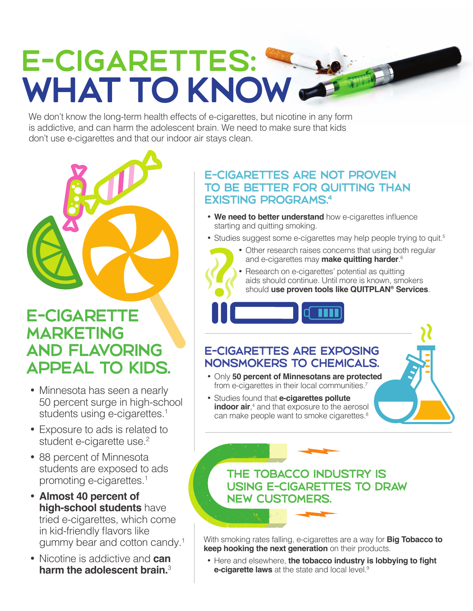# E-CIGARETTES: WHAT TO KNOW

We don't know the long-term health effects of e-cigarettes, but nicotine in any form is addictive, and can harm the adolescent brain. We need to make sure that kids don't use e-cigarettes and that our indoor air stays clean.



# E-CIGARETTE MARKETING AND FLAVORING APPEAL TO KIDS.

- Minnesota has seen a nearly 50 percent surge in high-school students using e-cigarettes.<sup>1</sup>
- Exposure to ads is related to student e-cigarette use.<sup>2</sup>
- 88 percent of Minnesota students are exposed to ads promoting e-cigarettes.<sup>1</sup>
- • **Almost 40 percent of high-school students** have tried e-cigarettes, which come in kid-friendly flavors like gummy bear and cotton candy.<sup>1</sup>
- • Nicotine is addictive and **can harm the adolescent brain.**<sup>3</sup>

#### E-CIGARETTES ARE NOT PROVEN TO BE BETTER FOR QUITTING THAN EXISTING PROGRAMS.4

- **We need to better understand** how e-cigarettes influence starting and quitting smoking.
- Studies suggest some e-cigarettes may help people trying to quit.<sup>5</sup>
	- Other research raises concerns that using both regular and e-cigarettes may **make quitting harder**. 6
	- Research on e-cigarettes' potential as quitting aids should continue. Until more is known, smokers should **use proven tools like QUITPLAN® Services**.

## E-CIGARETTES ARE EXPOSING NONSMOKERS TO CHEMICALS.

- • Only **50 percent of Minnesotans are protected**  from e-cigarettes in their local communities.<sup>7</sup>
- • Studies found that **e-cigarettes pollute indoor air**,<sup>4</sup> and that exposure to the aerosol can make people want to smoke cigarettes.<sup>8</sup>

### THE TOBACCO INDUSTRY IS USING E-CIGARETTES TO DRAW NEW CUSTOMERS.

With smoking rates falling, e-cigarettes are a way for **Big Tobacco to keep hooking the next generation** on their products.

• Here and elsewhere, the tobacco industry is lobbying to fight **e-cigarette laws** at the state and local level.<sup>9</sup>